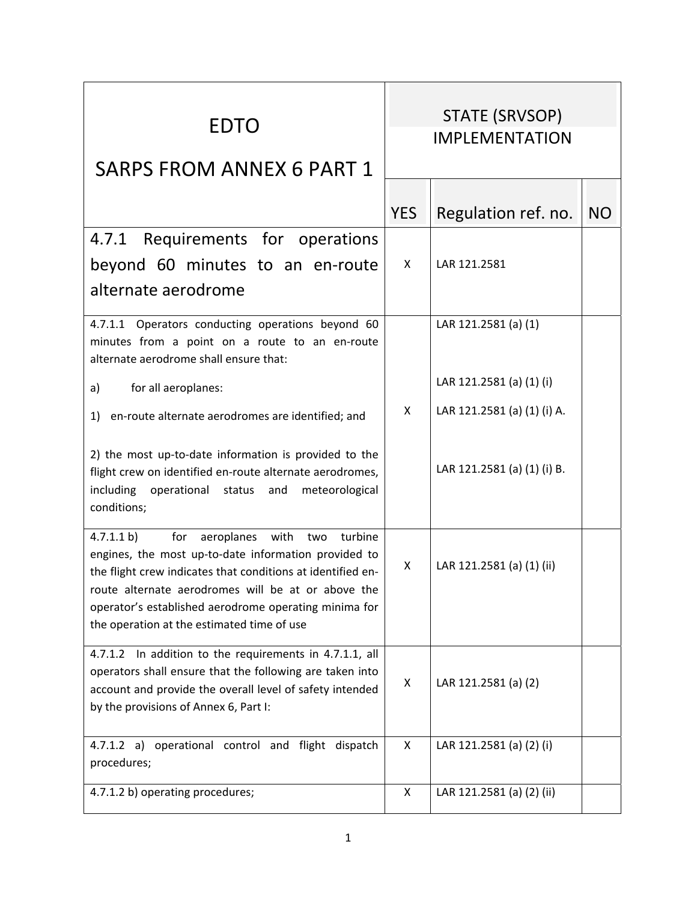| <b>EDTO</b><br><b>SARPS FROM ANNEX 6 PART 1</b>                                                                                                                                                                                                                                                                                            | STATE (SRVSOP)<br><b>IMPLEMENTATION</b> |                             |           |
|--------------------------------------------------------------------------------------------------------------------------------------------------------------------------------------------------------------------------------------------------------------------------------------------------------------------------------------------|-----------------------------------------|-----------------------------|-----------|
|                                                                                                                                                                                                                                                                                                                                            | <b>YES</b>                              | Regulation ref. no.         | <b>NO</b> |
| 4.7.1 Requirements for operations                                                                                                                                                                                                                                                                                                          |                                         |                             |           |
| beyond 60 minutes to an en-route                                                                                                                                                                                                                                                                                                           | X                                       | LAR 121.2581                |           |
| alternate aerodrome                                                                                                                                                                                                                                                                                                                        |                                         |                             |           |
| 4.7.1.1 Operators conducting operations beyond 60<br>minutes from a point on a route to an en-route<br>alternate aerodrome shall ensure that:                                                                                                                                                                                              |                                         | LAR 121.2581 (a) (1)        |           |
| for all aeroplanes:<br>a)                                                                                                                                                                                                                                                                                                                  |                                         | LAR 121.2581 (a) (1) (i)    |           |
| en-route alternate aerodromes are identified; and<br>1)                                                                                                                                                                                                                                                                                    | X                                       | LAR 121.2581 (a) (1) (i) A. |           |
| 2) the most up-to-date information is provided to the<br>flight crew on identified en-route alternate aerodromes,<br>including<br>operational status and<br>meteorological<br>conditions;                                                                                                                                                  |                                         | LAR 121.2581 (a) (1) (i) B. |           |
| 4.7.1.1 b)<br>aeroplanes with<br>for<br>turbine<br>two<br>engines, the most up-to-date information provided to<br>the flight crew indicates that conditions at identified en-<br>route alternate aerodromes will be at or above the<br>operator's established aerodrome operating minima for<br>the operation at the estimated time of use | X                                       | LAR 121.2581 (a) (1) (ii)   |           |
| 4.7.1.2 In addition to the requirements in 4.7.1.1, all<br>operators shall ensure that the following are taken into<br>account and provide the overall level of safety intended<br>by the provisions of Annex 6, Part I:                                                                                                                   | X                                       | LAR 121.2581 (a) (2)        |           |
| 4.7.1.2 a) operational control and flight dispatch<br>procedures;                                                                                                                                                                                                                                                                          | X                                       | LAR 121.2581 (a) (2) (i)    |           |
| 4.7.1.2 b) operating procedures;                                                                                                                                                                                                                                                                                                           | X                                       | LAR 121.2581 (a) (2) (ii)   |           |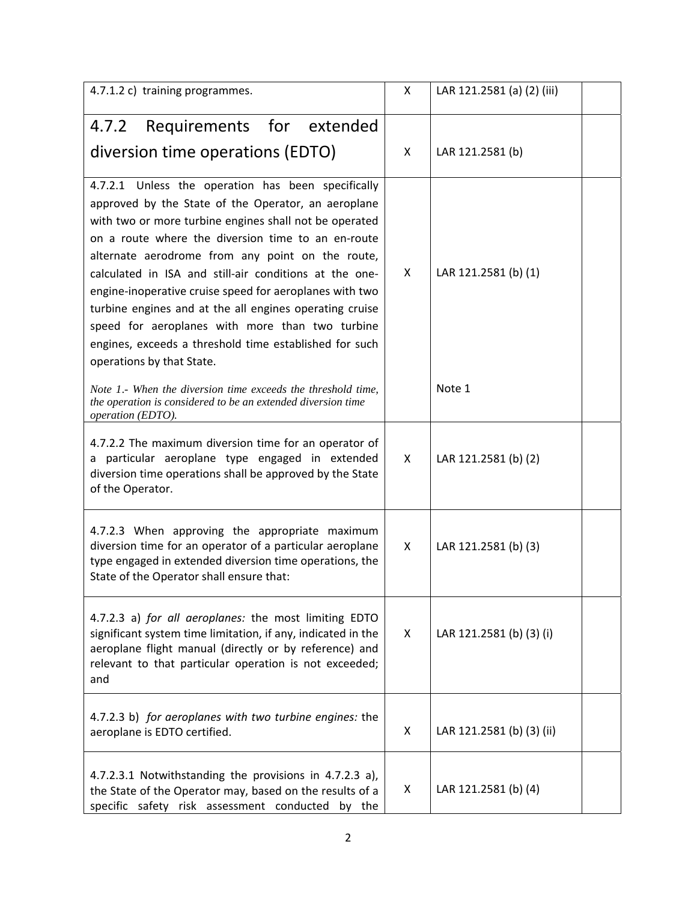| 4.7.1.2 c) training programmes.                                                                                                                                                                                                                                                                                                                                                                                                                                                                                                                                                                         | X  | LAR 121.2581 (a) (2) (iii) |
|---------------------------------------------------------------------------------------------------------------------------------------------------------------------------------------------------------------------------------------------------------------------------------------------------------------------------------------------------------------------------------------------------------------------------------------------------------------------------------------------------------------------------------------------------------------------------------------------------------|----|----------------------------|
| Requirements for extended<br>4.7.2                                                                                                                                                                                                                                                                                                                                                                                                                                                                                                                                                                      |    |                            |
| diversion time operations (EDTO)                                                                                                                                                                                                                                                                                                                                                                                                                                                                                                                                                                        | X  | LAR 121.2581 (b)           |
| 4.7.2.1 Unless the operation has been specifically<br>approved by the State of the Operator, an aeroplane<br>with two or more turbine engines shall not be operated<br>on a route where the diversion time to an en-route<br>alternate aerodrome from any point on the route,<br>calculated in ISA and still-air conditions at the one-<br>engine-inoperative cruise speed for aeroplanes with two<br>turbine engines and at the all engines operating cruise<br>speed for aeroplanes with more than two turbine<br>engines, exceeds a threshold time established for such<br>operations by that State. | x  | LAR 121.2581 (b) (1)       |
| Note 1.- When the diversion time exceeds the threshold time,<br>the operation is considered to be an extended diversion time<br>operation (EDTO).                                                                                                                                                                                                                                                                                                                                                                                                                                                       |    | Note 1                     |
| 4.7.2.2 The maximum diversion time for an operator of<br>a particular aeroplane type engaged in extended<br>diversion time operations shall be approved by the State<br>of the Operator.                                                                                                                                                                                                                                                                                                                                                                                                                | X  | LAR 121.2581 (b) (2)       |
| 4.7.2.3 When approving the appropriate maximum<br>diversion time for an operator of a particular aeroplane<br>type engaged in extended diversion time operations, the<br>State of the Operator shall ensure that:                                                                                                                                                                                                                                                                                                                                                                                       | X  | LAR 121.2581 (b) (3)       |
| 4.7.2.3 a) for all aeroplanes: the most limiting EDTO<br>significant system time limitation, if any, indicated in the<br>aeroplane flight manual (directly or by reference) and<br>relevant to that particular operation is not exceeded;<br>and                                                                                                                                                                                                                                                                                                                                                        | X. | LAR 121.2581 (b) (3) (i)   |
| 4.7.2.3 b) for aeroplanes with two turbine engines: the<br>aeroplane is EDTO certified.                                                                                                                                                                                                                                                                                                                                                                                                                                                                                                                 | X  | LAR 121.2581 (b) (3) (ii)  |
| 4.7.2.3.1 Notwithstanding the provisions in 4.7.2.3 a),<br>the State of the Operator may, based on the results of a<br>specific safety risk assessment conducted by the                                                                                                                                                                                                                                                                                                                                                                                                                                 | X  | LAR 121.2581 (b) (4)       |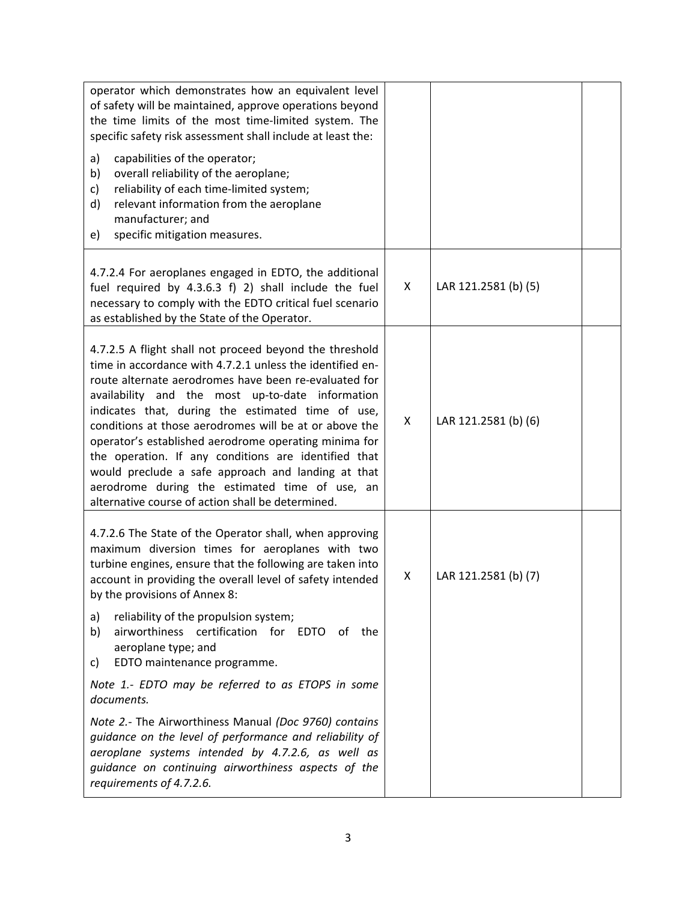| operator which demonstrates how an equivalent level<br>of safety will be maintained, approve operations beyond<br>the time limits of the most time-limited system. The<br>specific safety risk assessment shall include at least the:<br>a)<br>capabilities of the operator;<br>b)<br>overall reliability of the aeroplane;<br>reliability of each time-limited system;<br>c)<br>d)<br>relevant information from the aeroplane<br>manufacturer; and<br>specific mitigation measures.<br>e)                                                                                                                                     |   |                      |  |
|--------------------------------------------------------------------------------------------------------------------------------------------------------------------------------------------------------------------------------------------------------------------------------------------------------------------------------------------------------------------------------------------------------------------------------------------------------------------------------------------------------------------------------------------------------------------------------------------------------------------------------|---|----------------------|--|
| 4.7.2.4 For aeroplanes engaged in EDTO, the additional<br>fuel required by 4.3.6.3 f) 2) shall include the fuel<br>necessary to comply with the EDTO critical fuel scenario<br>as established by the State of the Operator.                                                                                                                                                                                                                                                                                                                                                                                                    | X | LAR 121.2581 (b) (5) |  |
| 4.7.2.5 A flight shall not proceed beyond the threshold<br>time in accordance with 4.7.2.1 unless the identified en-<br>route alternate aerodromes have been re-evaluated for<br>availability and the most up-to-date information<br>indicates that, during the estimated time of use,<br>conditions at those aerodromes will be at or above the<br>operator's established aerodrome operating minima for<br>the operation. If any conditions are identified that<br>would preclude a safe approach and landing at that<br>aerodrome during the estimated time of use, an<br>alternative course of action shall be determined. | X | LAR 121.2581 (b) (6) |  |
| 4.7.2.6 The State of the Operator shall, when approving<br>maximum diversion times for aeroplanes with two<br>turbine engines, ensure that the following are taken into<br>account in providing the overall level of safety intended<br>by the provisions of Annex 8:                                                                                                                                                                                                                                                                                                                                                          | X | LAR 121.2581 (b) (7) |  |
| reliability of the propulsion system;<br>a)<br>airworthiness certification for EDTO of the<br>b)<br>aeroplane type; and<br>EDTO maintenance programme.<br>C)                                                                                                                                                                                                                                                                                                                                                                                                                                                                   |   |                      |  |
| Note 1.- EDTO may be referred to as ETOPS in some<br>documents.                                                                                                                                                                                                                                                                                                                                                                                                                                                                                                                                                                |   |                      |  |
| Note 2.- The Airworthiness Manual (Doc 9760) contains<br>guidance on the level of performance and reliability of<br>aeroplane systems intended by 4.7.2.6, as well as<br>guidance on continuing airworthiness aspects of the<br>requirements of 4.7.2.6.                                                                                                                                                                                                                                                                                                                                                                       |   |                      |  |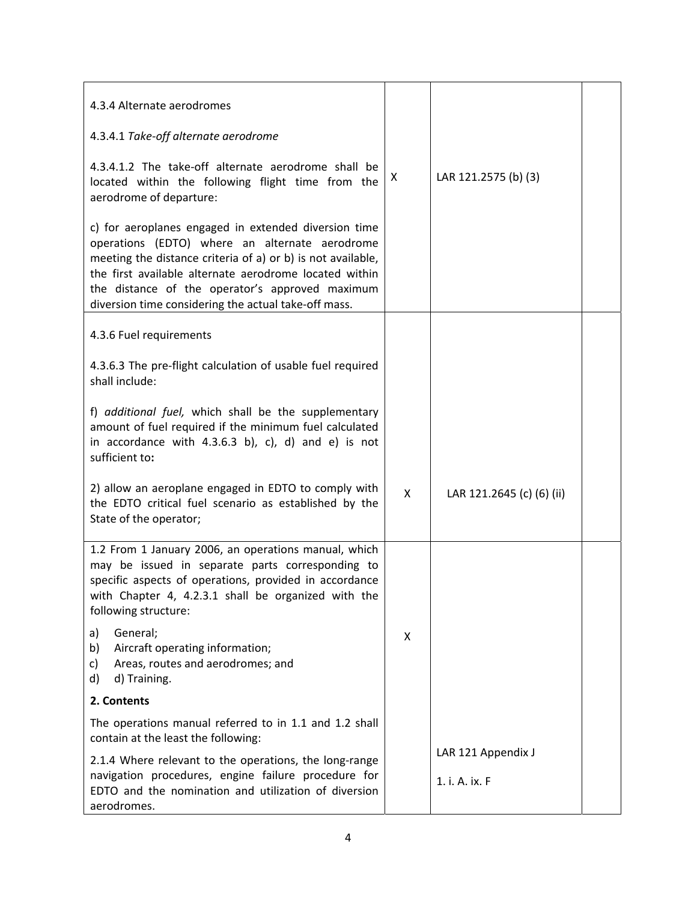| 4.3.4 Alternate aerodromes                                                                                                                                                                                                                                                                                                                 |   |                                      |  |
|--------------------------------------------------------------------------------------------------------------------------------------------------------------------------------------------------------------------------------------------------------------------------------------------------------------------------------------------|---|--------------------------------------|--|
| 4.3.4.1 Take-off alternate aerodrome                                                                                                                                                                                                                                                                                                       |   |                                      |  |
| 4.3.4.1.2 The take-off alternate aerodrome shall be<br>located within the following flight time from the<br>aerodrome of departure:                                                                                                                                                                                                        | X | LAR 121.2575 (b) (3)                 |  |
| c) for aeroplanes engaged in extended diversion time<br>operations (EDTO) where an alternate aerodrome<br>meeting the distance criteria of a) or b) is not available,<br>the first available alternate aerodrome located within<br>the distance of the operator's approved maximum<br>diversion time considering the actual take-off mass. |   |                                      |  |
| 4.3.6 Fuel requirements                                                                                                                                                                                                                                                                                                                    |   |                                      |  |
| 4.3.6.3 The pre-flight calculation of usable fuel required<br>shall include:                                                                                                                                                                                                                                                               |   |                                      |  |
| f) additional fuel, which shall be the supplementary<br>amount of fuel required if the minimum fuel calculated<br>in accordance with $4.3.6.3$ b), c), d) and e) is not<br>sufficient to:                                                                                                                                                  |   |                                      |  |
| 2) allow an aeroplane engaged in EDTO to comply with<br>the EDTO critical fuel scenario as established by the<br>State of the operator;                                                                                                                                                                                                    | X | LAR 121.2645 (c) (6) (ii)            |  |
| 1.2 From 1 January 2006, an operations manual, which<br>may be issued in separate parts corresponding to<br>specific aspects of operations, provided in accordance<br>with Chapter 4, 4.2.3.1 shall be organized with the<br>following structure:                                                                                          |   |                                      |  |
| General;<br>a)<br>Aircraft operating information;<br>b)<br>Areas, routes and aerodromes; and<br>c)<br>d) Training.<br>d)                                                                                                                                                                                                                   | X |                                      |  |
| 2. Contents                                                                                                                                                                                                                                                                                                                                |   |                                      |  |
| The operations manual referred to in 1.1 and 1.2 shall<br>contain at the least the following:                                                                                                                                                                                                                                              |   |                                      |  |
| 2.1.4 Where relevant to the operations, the long-range<br>navigation procedures, engine failure procedure for<br>EDTO and the nomination and utilization of diversion<br>aerodromes.                                                                                                                                                       |   | LAR 121 Appendix J<br>1. i. A. ix. F |  |